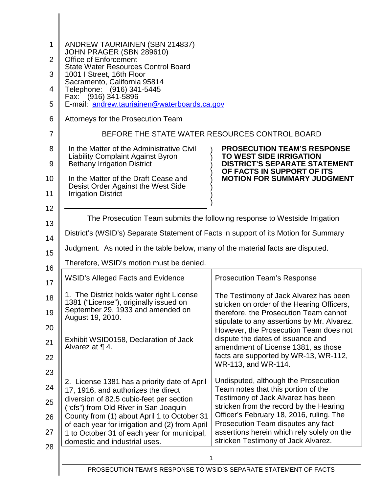| 1<br>2<br>3<br>4<br>5<br>6<br>7<br>8 | ANDREW TAURIAINEN (SBN 214837)<br>JOHN PRAGER (SBN 289610)<br><b>Office of Enforcement</b><br><b>State Water Resources Control Board</b><br>1001   Street, 16th Floor<br>Sacramento, California 95814<br>Telephone: (916) 341-5445<br>Fax: (916) 341-5896<br>E-mail: andrew.tauriainen@waterboards.ca.gov<br>Attorneys for the Prosecution Team<br>In the Matter of the Administrative Civil | BEFORE THE STATE WATER RESOURCES CONTROL BOARD<br><b>PROSECUTION TEAM'S RESPONSE</b>                                                                                                                                                                                                                                                         |
|--------------------------------------|----------------------------------------------------------------------------------------------------------------------------------------------------------------------------------------------------------------------------------------------------------------------------------------------------------------------------------------------------------------------------------------------|----------------------------------------------------------------------------------------------------------------------------------------------------------------------------------------------------------------------------------------------------------------------------------------------------------------------------------------------|
| 9<br>10<br>11                        | <b>Liability Complaint Against Byron</b><br><b>Bethany Irrigation District</b><br>In the Matter of the Draft Cease and<br>Desist Order Against the West Side<br><b>Irrigation District</b>                                                                                                                                                                                                   | <b>TO WEST SIDE IRRIGATION</b><br><b>DISTRICT'S SEPARATE STATEMENT</b><br>OF FACTS IN SUPPORT OF ITS<br><b>MOTION FOR SUMMARY JUDGMENT</b>                                                                                                                                                                                                   |
| 12                                   | The Prosecution Team submits the following response to Westside Irrigation                                                                                                                                                                                                                                                                                                                   |                                                                                                                                                                                                                                                                                                                                              |
| 13                                   |                                                                                                                                                                                                                                                                                                                                                                                              |                                                                                                                                                                                                                                                                                                                                              |
| 14                                   | District's (WSID's) Separate Statement of Facts in support of its Motion for Summary                                                                                                                                                                                                                                                                                                         |                                                                                                                                                                                                                                                                                                                                              |
| 15                                   | Judgment. As noted in the table below, many of the material facts are disputed.                                                                                                                                                                                                                                                                                                              |                                                                                                                                                                                                                                                                                                                                              |
| 16                                   | Therefore, WSID's motion must be denied.                                                                                                                                                                                                                                                                                                                                                     |                                                                                                                                                                                                                                                                                                                                              |
| 17                                   | <b>WSID's Alleged Facts and Evidence</b>                                                                                                                                                                                                                                                                                                                                                     | <b>Prosecution Team's Response</b>                                                                                                                                                                                                                                                                                                           |
| 18<br>19<br>20<br>21<br>22           | 1. The District holds water right License<br>1381 ("License"), originally issued on<br>September 29, 1933 and amended on<br>August 19, 2010.<br>Exhibit WSID0158, Declaration of Jack<br>Alvarez at $\P$ 4.                                                                                                                                                                                  | The Testimony of Jack Alvarez has been<br>stricken on order of the Hearing Officers,<br>therefore, the Prosecution Team cannot<br>stipulate to any assertions by Mr. Alvarez.<br>However, the Prosecution Team does not<br>dispute the dates of issuance and<br>amendment of License 1381, as those<br>facts are supported by WR-13, WR-112, |
| 23                                   |                                                                                                                                                                                                                                                                                                                                                                                              | WR-113, and WR-114.                                                                                                                                                                                                                                                                                                                          |
| 24                                   | 2. License 1381 has a priority date of April                                                                                                                                                                                                                                                                                                                                                 | Undisputed, although the Prosecution<br>Team notes that this portion of the                                                                                                                                                                                                                                                                  |
| 25                                   | 17, 1916, and authorizes the direct<br>diversion of 82.5 cubic-feet per section                                                                                                                                                                                                                                                                                                              | Testimony of Jack Alvarez has been                                                                                                                                                                                                                                                                                                           |
| 26                                   | ("cfs") from Old River in San Joaquin<br>County from (1) about April 1 to October 31                                                                                                                                                                                                                                                                                                         | stricken from the record by the Hearing<br>Officer's February 18, 2016, ruling. The                                                                                                                                                                                                                                                          |
| 27                                   | of each year for irrigation and (2) from April<br>1 to October 31 of each year for municipal,<br>domestic and industrial uses.                                                                                                                                                                                                                                                               | Prosecution Team disputes any fact<br>assertions herein which rely solely on the<br>stricken Testimony of Jack Alvarez.                                                                                                                                                                                                                      |
| 28                                   | 1                                                                                                                                                                                                                                                                                                                                                                                            |                                                                                                                                                                                                                                                                                                                                              |
|                                      | PROSECUTION TEAM'S RESPONSE TO WSID'S SEPARATE STATEMENT OF FACTS                                                                                                                                                                                                                                                                                                                            |                                                                                                                                                                                                                                                                                                                                              |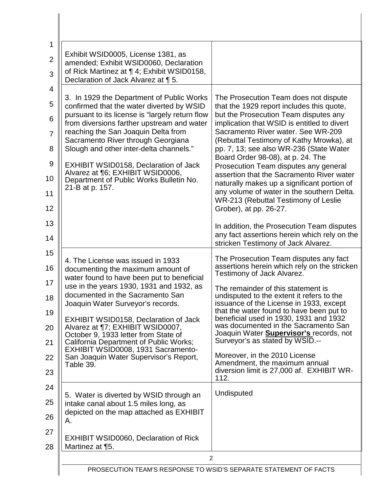| 1<br>$\overline{2}$<br>3                                                                  | Exhibit WSID0005, License 1381, as<br>amended; Exhibit WSID0060, Declaration<br>of Rick Martinez at ¶ 4; Exhibit WSID0158,<br>Declaration of Jack Alvarez at ¶ 5.                                                                                                                                                                                                                                                                                                                                            |                                                                                                                                                                                                                                                                                                                                                                                                                                                                                                                                                                                                   |
|-------------------------------------------------------------------------------------------|--------------------------------------------------------------------------------------------------------------------------------------------------------------------------------------------------------------------------------------------------------------------------------------------------------------------------------------------------------------------------------------------------------------------------------------------------------------------------------------------------------------|---------------------------------------------------------------------------------------------------------------------------------------------------------------------------------------------------------------------------------------------------------------------------------------------------------------------------------------------------------------------------------------------------------------------------------------------------------------------------------------------------------------------------------------------------------------------------------------------------|
| $\overline{4}$<br>5<br>6<br>$\overline{7}$<br>8<br>$\overline{9}$<br>10<br>11<br>12<br>13 | 3. In 1929 the Department of Public Works<br>confirmed that the water diverted by WSID<br>pursuant to its license is "largely return flow<br>from diversions farther upstream and water<br>reaching the San Joaquin Delta from<br>Sacramento River through Georgiana<br>Slough and other inter-delta channels."<br>EXHIBIT WSID0158, Declaration of Jack<br>Alvarez at ¶6; EXHIBIT WSID0006,<br>Department of Public Works Bulletin No.<br>21-B at p. 157.                                                   | The Prosecution Team does not dispute<br>that the 1929 report includes this quote,<br>but the Prosecution Team disputes any<br>implication that WSID is entitled to divert<br>Sacramento River water, See WR-209<br>(Rebuttal Testimony of Kathy Mrowka), at<br>pp. 7, 13; see also WR-236 (State Water<br>Board Order 98-08), at p. 24. The<br>Prosecution Team disputes any general<br>assertion that the Sacramento River water<br>naturally makes up a significant portion of<br>any volume of water in the southern Delta.<br>WR-213 (Rebuttal Testimony of Leslie<br>Grober), at pp. 26-27. |
| 14                                                                                        |                                                                                                                                                                                                                                                                                                                                                                                                                                                                                                              | In addition, the Prosecution Team disputes<br>any fact assertions herein which rely on the<br>stricken Testimony of Jack Alvarez.                                                                                                                                                                                                                                                                                                                                                                                                                                                                 |
| 15<br>16<br>17<br>18<br>19<br>20<br>21<br>22<br>23<br>24                                  | 4. The License was issued in 1933<br>documenting the maximum amount of<br>water found to have been put to beneficial<br>use in the years 1930, 1931 and 1932, as<br>documented in the Sacramento San<br>Joaquin Water Surveyor's records.<br><b>EXHIBIT WSID0158, Declaration of Jack</b><br>Alvarez at ¶7; EXHIBIT WSID0007,<br>October 9, 1933 letter from State of<br>California Department of Public Works;<br>EXHIBIT WSID0008, 1931 Sacramento-<br>San Joaquin Water Supervisor's Report,<br>Table 39. | The Prosecution Team disputes any fact<br>assertions herein which rely on the stricken<br>Testimony of Jack Alvarez.<br>The remainder of this statement is<br>undisputed to the extent it refers to the<br>issuance of the License in 1933, except<br>that the water found to have been put to<br>beneficial used in 1930, 1931 and 1932<br>was documented in the Sacramento San<br>Joaquin Water <b>Supervisor's</b> records, not<br>Surveyor's as stated by WSID.--<br>Moreover, in the 2010 License<br>Amendment, the maximum annual<br>diversion limit is 27,000 af. EXHIBIT WR-<br>112.      |
| 25<br>26<br>27                                                                            | 5. Water is diverted by WSID through an<br>intake canal about 1.5 miles long, as<br>depicted on the map attached as EXHIBIT<br>А.<br><b>EXHIBIT WSID0060, Declaration of Rick</b>                                                                                                                                                                                                                                                                                                                            | Undisputed                                                                                                                                                                                                                                                                                                                                                                                                                                                                                                                                                                                        |
| 28                                                                                        | Martinez at 15.<br>$\overline{2}$<br>PROSECUTION TEAM'S RESPONSE TO WSID'S SEPARATE STATEMENT OF FACTS                                                                                                                                                                                                                                                                                                                                                                                                       |                                                                                                                                                                                                                                                                                                                                                                                                                                                                                                                                                                                                   |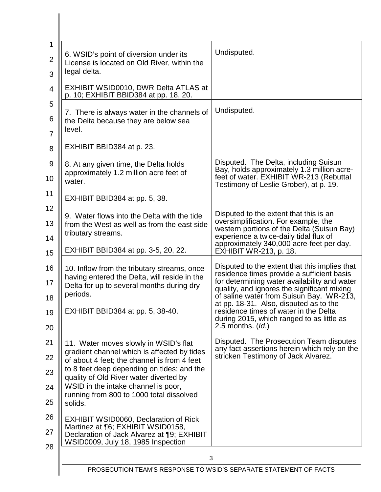| 1<br>$\overline{2}$<br>3 | 6. WSID's point of diversion under its<br>License is located on Old River, within the<br>legal delta.                                                                 | Undisputed.                                                                                                                                                                                                                                                                      |
|--------------------------|-----------------------------------------------------------------------------------------------------------------------------------------------------------------------|----------------------------------------------------------------------------------------------------------------------------------------------------------------------------------------------------------------------------------------------------------------------------------|
| $\overline{4}$           | EXHIBIT WSID0010, DWR Delta ATLAS at<br>p. 10; EXHIBIT BBID384 at pp. 18, 20.                                                                                         |                                                                                                                                                                                                                                                                                  |
| 5<br>6<br>$\overline{7}$ | 7. There is always water in the channels of<br>the Delta because they are below sea<br>level.                                                                         | Undisputed.                                                                                                                                                                                                                                                                      |
| 8                        | EXHIBIT BBID384 at p. 23.                                                                                                                                             |                                                                                                                                                                                                                                                                                  |
| 9                        | 8. At any given time, the Delta holds                                                                                                                                 | Disputed. The Delta, including Suisun<br>Bay, holds approximately 1.3 million acre-                                                                                                                                                                                              |
| 10                       | approximately 1.2 million acre feet of<br>water.                                                                                                                      | feet of water. EXHIBIT WR-213 (Rebuttal<br>Testimony of Leslie Grober), at p. 19.                                                                                                                                                                                                |
| 11                       | EXHIBIT BBID384 at pp. 5, 38.                                                                                                                                         |                                                                                                                                                                                                                                                                                  |
| 12<br>13<br>14           | 9. Water flows into the Delta with the tide<br>from the West as well as from the east side<br>tributary streams.                                                      | Disputed to the extent that this is an<br>oversimplification. For example, the<br>western portions of the Delta (Suisun Bay)<br>experience a twice-daily tidal flux of                                                                                                           |
| 15                       | EXHIBIT BBID384 at pp. 3-5, 20, 22.                                                                                                                                   | approximately 340,000 acre-feet per day.<br><b>EXHIBIT WR-213, p. 18.</b>                                                                                                                                                                                                        |
| 16<br>17<br>18           | 10. Inflow from the tributary streams, once<br>having entered the Delta, will reside in the<br>Delta for up to several months during dry<br>periods.                  | Disputed to the extent that this implies that<br>residence times provide a sufficient basis<br>for determining water availability and water<br>quality, and ignores the significant mixing<br>of saline water from Suisun Bay. WR-213,<br>at pp. 18-31. Also, disputed as to the |
| 19<br>20                 | EXHIBIT BBID384 at pp. 5, 38-40.                                                                                                                                      | residence times of water in the Delta<br>during 2015, which ranged to as little as<br>2.5 months. (Id.)                                                                                                                                                                          |
| 21                       | 11. Water moves slowly in WSID's flat                                                                                                                                 | Disputed. The Prosecution Team disputes                                                                                                                                                                                                                                          |
| 22                       | gradient channel which is affected by tides<br>of about 4 feet; the channel is from 4 feet                                                                            | any fact assertions herein which rely on the<br>stricken Testimony of Jack Alvarez.                                                                                                                                                                                              |
| 23                       | to 8 feet deep depending on tides; and the<br>quality of Old River water diverted by                                                                                  |                                                                                                                                                                                                                                                                                  |
| 24                       | WSID in the intake channel is poor,<br>running from 800 to 1000 total dissolved                                                                                       |                                                                                                                                                                                                                                                                                  |
| 25                       | solids.                                                                                                                                                               |                                                                                                                                                                                                                                                                                  |
| 26<br>27<br>28           | <b>EXHIBIT WSID0060, Declaration of Rick</b><br>Martinez at ¶6; EXHIBIT WSID0158,<br>Declaration of Jack Alvarez at ¶9; EXHIBIT<br>WSID0009, July 18, 1985 Inspection |                                                                                                                                                                                                                                                                                  |
|                          | 3                                                                                                                                                                     |                                                                                                                                                                                                                                                                                  |
|                          | PROSECUTION TEAM'S RESPONSE TO WSID'S SEPARATE STATEMENT OF FACTS                                                                                                     |                                                                                                                                                                                                                                                                                  |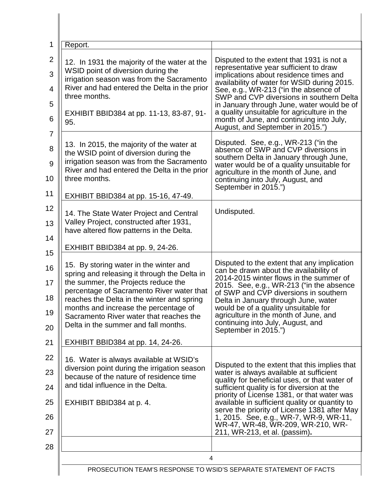| 1                                               | Report.                                                                                                                                                                                                                                                                                                                                                                                   |                                                                                                                                                                                                                                                                                                                                                                                                                                                          |
|-------------------------------------------------|-------------------------------------------------------------------------------------------------------------------------------------------------------------------------------------------------------------------------------------------------------------------------------------------------------------------------------------------------------------------------------------------|----------------------------------------------------------------------------------------------------------------------------------------------------------------------------------------------------------------------------------------------------------------------------------------------------------------------------------------------------------------------------------------------------------------------------------------------------------|
| $\overline{2}$<br>3<br>$\overline{4}$<br>5<br>6 | 12. In 1931 the majority of the water at the<br>WSID point of diversion during the<br>irrigation season was from the Sacramento<br>River and had entered the Delta in the prior<br>three months.<br>EXHIBIT BBID384 at pp. 11-13, 83-87, 91-<br>95.                                                                                                                                       | Disputed to the extent that 1931 is not a<br>representative year sufficient to draw<br>implications about residence times and<br>availability of water for WSID during 2015.<br>See, e.g., WR-213 ("in the absence of<br>SWP and CVP diversions in southern Delta<br>in January through June, water would be of<br>a quality unsuitable for agriculture in the<br>month of June, and continuing into July,<br>August, and September in 2015.")           |
| $\overline{7}$<br>8<br>9<br>10<br>11            | 13. In 2015, the majority of the water at<br>the WSID point of diversion during the<br>irrigation season was from the Sacramento<br>River and had entered the Delta in the prior<br>three months.<br>EXHIBIT BBID384 at pp. 15-16, 47-49.                                                                                                                                                 | Disputed. See, e.g., WR-213 ("in the<br>absence of SWP and CVP diversions in<br>southern Delta in January through June,<br>water would be of a quality unsuitable for<br>agriculture in the month of June, and<br>continuing into July, August, and<br>September in 2015.")                                                                                                                                                                              |
| 12<br>13<br>14<br>15                            | 14. The State Water Project and Central<br>Valley Project, constructed after 1931,<br>have altered flow patterns in the Delta.<br>EXHIBIT BBID384 at pp. 9, 24-26.                                                                                                                                                                                                                        | Undisputed.                                                                                                                                                                                                                                                                                                                                                                                                                                              |
| 16<br>17<br>18<br>19<br>20<br>21                | 15. By storing water in the winter and<br>spring and releasing it through the Delta in<br>the summer, the Projects reduce the<br>percentage of Sacramento River water that<br>reaches the Delta in the winter and spring<br>months and increase the percentage of<br>Sacramento River water that reaches the<br>Delta in the summer and fall months.<br>EXHIBIT BBID384 at pp. 14, 24-26. | Disputed to the extent that any implication<br>can be drawn about the availability of<br>2014-2015 winter flows in the summer of<br>2015. See, e.g., WR-213 ("in the absence<br>of SWP and CVP diversions in southern<br>Delta in January through June, water<br>would be of a quality unsuitable for<br>agriculture in the month of June, and<br>continuing into July, August, and<br>September in 2015.")                                              |
| 22<br>23<br>24<br>25<br>26<br>27                | 16. Water is always available at WSID's<br>diversion point during the irrigation season<br>because of the nature of residence time<br>and tidal influence in the Delta.<br>EXHIBIT BBID384 at p. 4.                                                                                                                                                                                       | Disputed to the extent that this implies that<br>water is always available at sufficient<br>quality for beneficial uses, or that water of<br>sufficient quality is for diversion at the<br>priority of License 1381, or that water was<br>available in sufficient quality or quantity to<br>serve the priority of License 1381 after May<br>1, 2015. See, e.g., WR-7, WR-9, WR-11,<br>WR-47, WR-48, WR-209, WR-210, WR-<br>211, WR-213, et al. (passim). |
| 28                                              | 4                                                                                                                                                                                                                                                                                                                                                                                         |                                                                                                                                                                                                                                                                                                                                                                                                                                                          |
|                                                 | PROSECUTION TEAM'S RESPONSE TO WSID'S SEPARATE STATEMENT OF FACTS                                                                                                                                                                                                                                                                                                                         |                                                                                                                                                                                                                                                                                                                                                                                                                                                          |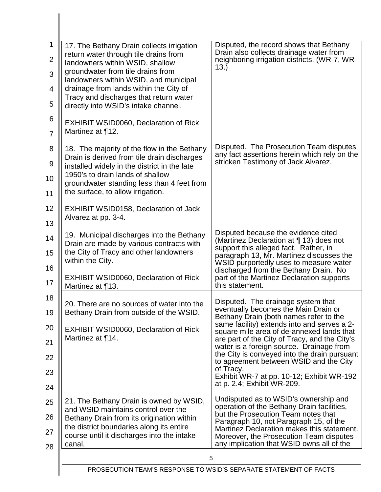| 1<br>$\overline{2}$<br>3               | 17. The Bethany Drain collects irrigation<br>return water through tile drains from<br>landowners within WSID, shallow<br>groundwater from tile drains from                                                                                                        | Disputed, the record shows that Bethany<br>Drain also collects drainage water from<br>neighboring irrigation districts. (WR-7, WR-<br>13.                                                                                                                                                                                                                                                                                                                                                       |
|----------------------------------------|-------------------------------------------------------------------------------------------------------------------------------------------------------------------------------------------------------------------------------------------------------------------|-------------------------------------------------------------------------------------------------------------------------------------------------------------------------------------------------------------------------------------------------------------------------------------------------------------------------------------------------------------------------------------------------------------------------------------------------------------------------------------------------|
| $\overline{4}$                         | landowners within WSID, and municipal<br>drainage from lands within the City of                                                                                                                                                                                   |                                                                                                                                                                                                                                                                                                                                                                                                                                                                                                 |
| 5                                      | Tracy and discharges that return water<br>directly into WSID's intake channel.                                                                                                                                                                                    |                                                                                                                                                                                                                                                                                                                                                                                                                                                                                                 |
| 6<br>$\overline{7}$                    | <b>EXHIBIT WSID0060, Declaration of Rick</b><br>Martinez at 112.                                                                                                                                                                                                  |                                                                                                                                                                                                                                                                                                                                                                                                                                                                                                 |
| 8<br>9<br>10<br>11                     | 18. The majority of the flow in the Bethany<br>Drain is derived from tile drain discharges<br>installed widely in the district in the late<br>1950's to drain lands of shallow<br>groundwater standing less than 4 feet from<br>the surface, to allow irrigation. | Disputed. The Prosecution Team disputes<br>any fact assertions herein which rely on the<br>stricken Testimony of Jack Alvarez.                                                                                                                                                                                                                                                                                                                                                                  |
| 12<br>13                               | EXHIBIT WSID0158, Declaration of Jack<br>Alvarez at pp. 3-4.                                                                                                                                                                                                      |                                                                                                                                                                                                                                                                                                                                                                                                                                                                                                 |
| 14<br>15<br>16<br>17                   | 19. Municipal discharges into the Bethany<br>Drain are made by various contracts with<br>the City of Tracy and other landowners<br>within the City.<br><b>EXHIBIT WSID0060, Declaration of Rick</b>                                                               | Disputed because the evidence cited<br>(Martinez Declaration at ¶ 13) does not<br>support this alleged fact. Rather, in<br>paragraph 13, Mr. Martinez discusses the<br>WSID purportedly uses to measure water<br>discharged from the Bethany Drain. No<br>part of the Martinez Declaration supports<br>this statement.                                                                                                                                                                          |
| 18<br>19<br>20<br>21<br>22<br>23<br>24 | Martinez at 113.<br>20. There are no sources of water into the<br>Bethany Drain from outside of the WSID.<br><b>EXHIBIT WSID0060, Declaration of Rick</b><br>Martinez at 114.                                                                                     | Disputed. The drainage system that<br>eventually becomes the Main Drain or<br>Bethany Drain (both names refer to the<br>same facility) extends into and serves a 2-<br>square mile area of de-annexed lands that<br>are part of the City of Tracy, and the City's<br>water is a foreign source. Drainage from<br>the City is conveyed into the drain pursuant<br>to agreement between WSID and the City<br>of Tracy.<br>Exhibit WR-7 at pp. 10-12; Exhibit WR-192<br>at p. 2.4; Exhibit WR-209. |
| 25<br>26<br>27<br>28                   | 21. The Bethany Drain is owned by WSID,<br>and WSID maintains control over the<br>Bethany Drain from its origination within<br>the district boundaries along its entire<br>course until it discharges into the intake<br>canal.                                   | Undisputed as to WSID's ownership and<br>operation of the Bethany Drain facilities,<br>but the Prosecution Team notes that<br>Paragraph 10, not Paragraph 15, of the<br>Martinez Declaration makes this statement.<br>Moreover, the Prosecution Team disputes<br>any implication that WSID owns all of the                                                                                                                                                                                      |
|                                        | 5<br>PROSECUTION TEAM'S RESPONSE TO WSID'S SEPARATE STATEMENT OF FACTS                                                                                                                                                                                            |                                                                                                                                                                                                                                                                                                                                                                                                                                                                                                 |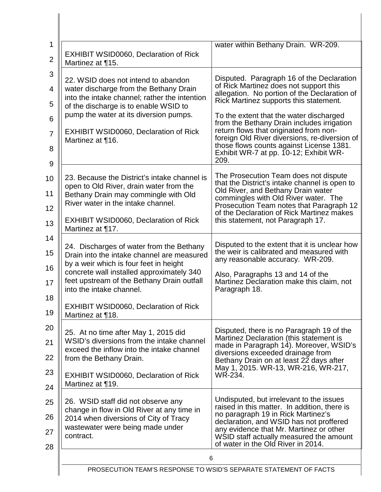| 1<br>$\overline{2}$                     | <b>EXHIBIT WSID0060, Declaration of Rick</b><br>Martinez at ¶15.                                                                                                                                                                                                                                                                                | water within Bethany Drain. WR-209.                                                                                                                                                                                                                                                                                                                                                                                                                             |
|-----------------------------------------|-------------------------------------------------------------------------------------------------------------------------------------------------------------------------------------------------------------------------------------------------------------------------------------------------------------------------------------------------|-----------------------------------------------------------------------------------------------------------------------------------------------------------------------------------------------------------------------------------------------------------------------------------------------------------------------------------------------------------------------------------------------------------------------------------------------------------------|
| 3<br>4<br>5<br>6<br>$\overline{7}$<br>8 | 22. WSID does not intend to abandon<br>water discharge from the Bethany Drain<br>into the intake channel; rather the intention<br>of the discharge is to enable WSID to<br>pump the water at its diversion pumps.<br><b>EXHIBIT WSID0060, Declaration of Rick</b><br>Martinez at 116.                                                           | Disputed. Paragraph 16 of the Declaration<br>of Rick Martinez does not support this<br>allegation. No portion of the Declaration of<br>Rick Martinez supports this statement.<br>To the extent that the water discharged<br>from the Bethany Drain includes irrigation<br>return flows that originated from non-<br>foreign Old River diversions, re-diversion of<br>those flows counts against License 1381.<br>Exhibit WR-7 at pp. 10-12; Exhibit WR-<br>209. |
| 9<br>10<br>11<br>12<br>13               | 23. Because the District's intake channel is<br>open to Old River, drain water from the<br>Bethany Drain may commingle with Old<br>River water in the intake channel.<br><b>EXHIBIT WSID0060, Declaration of Rick</b>                                                                                                                           | The Prosecution Team does not dispute<br>that the District's intake channel is open to<br>Old River, and Bethany Drain water<br>commingles with Old River water. The<br>Prosecution Team notes that Paragraph 12<br>of the Declaration of Rick Martinez makes<br>this statement, not Paragraph 17.                                                                                                                                                              |
| 14<br>15<br>16<br>17<br>18<br>19        | Martinez at 117.<br>24. Discharges of water from the Bethany<br>Drain into the intake channel are measured<br>by a weir which is four feet in height<br>concrete wall installed approximately 340<br>feet upstream of the Bethany Drain outfall<br>into the intake channel.<br><b>EXHIBIT WSID0060, Declaration of Rick</b><br>Martinez at 118. | Disputed to the extent that it is unclear how<br>the weir is calibrated and measured with<br>any reasonable accuracy. WR-209.<br>Also, Paragraphs 13 and 14 of the<br>Martinez Declaration make this claim, not<br>Paragraph 18.                                                                                                                                                                                                                                |
| 20<br>21<br>22<br>23                    | 25. At no time after May 1, 2015 did<br>WSID's diversions from the intake channel<br>exceed the inflow into the intake channel<br>from the Bethany Drain.<br>EXHIBIT WSID0060, Declaration of Rick<br>Martinez at 19.                                                                                                                           | Disputed, there is no Paragraph 19 of the<br>Martinez Declaration (this statement is<br>made in Paragraph 14). Moreover, WSID's<br>diversions exceeded drainage from<br>Bethany Drain on at least 22 days after<br>May 1, 2015. WR-13, WR-216, WR-217,<br>WR-234.                                                                                                                                                                                               |
| 24<br>25<br>26<br>27<br>28              | 26. WSID staff did not observe any<br>change in flow in Old River at any time in<br>2014 when diversions of City of Tracy<br>wastewater were being made under<br>contract.                                                                                                                                                                      | Undisputed, but irrelevant to the issues<br>raised in this matter. In addition, there is<br>no paragraph 19 in Rick Martinez's<br>declaration, and WSID has not proffered<br>any evidence that Mr. Martinez or other<br>WSID staff actually measured the amount<br>of water in the Old River in 2014.                                                                                                                                                           |
|                                         | 6<br>PROSECUTION TEAM'S RESPONSE TO WSID'S SEPARATE STATEMENT OF FACTS                                                                                                                                                                                                                                                                          |                                                                                                                                                                                                                                                                                                                                                                                                                                                                 |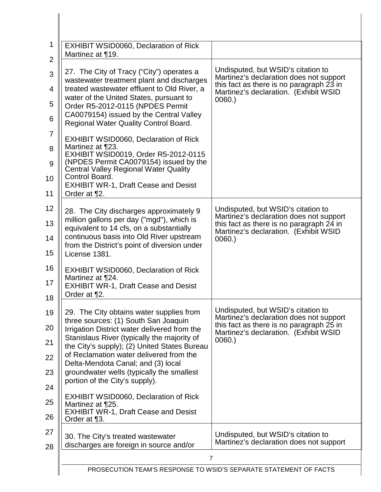| 1              | <b>EXHIBIT WSID0060, Declaration of Rick</b>                                                |                                                                                   |
|----------------|---------------------------------------------------------------------------------------------|-----------------------------------------------------------------------------------|
| $\overline{2}$ | Martinez at 19.                                                                             |                                                                                   |
| 3              | 27. The City of Tracy ("City") operates a                                                   | Undisputed, but WSID's citation to<br>Martinez's declaration does not support     |
| 4              | wastewater treatment plant and discharges<br>treated wastewater effluent to Old River, a    | this fact as there is no paragraph 23 in<br>Martinez's declaration. (Exhibit WSID |
| 5              | water of the United States, pursuant to<br>Order R5-2012-0115 (NPDES Permit                 | 0060.                                                                             |
| 6              | CA0079154) issued by the Central Valley<br>Regional Water Quality Control Board.            |                                                                                   |
| $\overline{7}$ | <b>EXHIBIT WSID0060, Declaration of Rick</b>                                                |                                                                                   |
| 8              | Martinez at ¶23.<br>EXHIBIT WSID0019, Order R5-2012-0115                                    |                                                                                   |
| 9              | (NPDES Permit CA0079154) issued by the<br><b>Central Valley Regional Water Quality</b>      |                                                                                   |
| 10             | Control Board.<br><b>EXHIBIT WR-1, Draft Cease and Desist</b>                               |                                                                                   |
| 11             | Order at ¶2.                                                                                |                                                                                   |
| 12             | 28. The City discharges approximately 9<br>million gallons per day ("mgd"), which is        | Undisputed, but WSID's citation to<br>Martinez's declaration does not support     |
| 13             | equivalent to 14 cfs, on a substantially<br>continuous basis into Old River upstream        | this fact as there is no paragraph 24 in<br>Martinez's declaration. (Exhibit WSID |
| 14<br>15       | from the District's point of diversion under<br>License 1381.                               | 0060.                                                                             |
| 16             | <b>EXHIBIT WSID0060, Declaration of Rick</b>                                                |                                                                                   |
| 17             | Martinez at ¶24.<br><b>EXHIBIT WR-1, Draft Cease and Desist</b>                             |                                                                                   |
| 18             | Order at ¶2.                                                                                |                                                                                   |
| 19             | 29. The City obtains water supplies from<br>three sources: (1) South San Joaquin            | Undisputed, but WSID's citation to<br>Martinez's declaration does not support     |
| 20             | Irrigation District water delivered from the<br>Stanislaus River (typically the majority of | this fact as there is no paragraph 25 in<br>Martinez's declaration. (Exhibit WSID |
| 21             | the City's supply); (2) United States Bureau<br>of Reclamation water delivered from the     | 0060.                                                                             |
| 22             | Delta-Mendota Canal; and (3) local                                                          |                                                                                   |
| 23<br>24       | groundwater wells (typically the smallest<br>portion of the City's supply).                 |                                                                                   |
| 25             | <b>EXHIBIT WSID0060, Declaration of Rick</b><br>Martinez at ¶25.                            |                                                                                   |
| 26             | <b>EXHIBIT WR-1, Draft Cease and Desist</b><br>Order at ¶3.                                 |                                                                                   |
| 27             | 30. The City's treated wastewater                                                           | Undisputed, but WSID's citation to                                                |
| 28             | discharges are foreign in source and/or                                                     | Martinez's declaration does not support                                           |
|                | $\overline{7}$                                                                              |                                                                                   |
|                | PROSECUTION TEAM'S RESPONSE TO WSID'S SEPARATE STATEMENT OF FACTS                           |                                                                                   |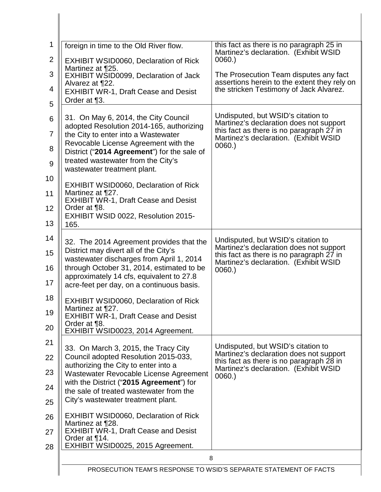| 1              | foreign in time to the Old River flow.                                                | this fact as there is no paragraph 25 in<br>Martinez's declaration. (Exhibit WSID      |
|----------------|---------------------------------------------------------------------------------------|----------------------------------------------------------------------------------------|
| $\overline{2}$ | <b>EXHIBIT WSID0060, Declaration of Rick</b><br>Martinez at ¶25.                      | 0060.                                                                                  |
| 3              | EXHIBIT WSID0099, Declaration of Jack<br>Alvarez at ¶22.                              | The Prosecution Team disputes any fact<br>assertions herein to the extent they rely on |
| 4              | <b>EXHIBIT WR-1, Draft Cease and Desist</b>                                           | the stricken Testimony of Jack Alvarez.                                                |
| 5              | Order at ¶3.                                                                          |                                                                                        |
| 6              | 31. On May 6, 2014, the City Council<br>adopted Resolution 2014-165, authorizing      | Undisputed, but WSID's citation to<br>Martinez's declaration does not support          |
| $\overline{7}$ | the City to enter into a Wastewater                                                   | this fact as there is no paragraph 27 in<br>Martinez's declaration. (Exhibit WSID      |
| 8              | Revocable License Agreement with the<br>District ("2014 Agreement") for the sale of   | 0060.                                                                                  |
| $\overline{9}$ | treated wastewater from the City's<br>wastewater treatment plant.                     |                                                                                        |
| 10             | <b>EXHIBIT WSID0060, Declaration of Rick</b>                                          |                                                                                        |
| 11             | Martinez at ¶27.<br><b>EXHIBIT WR-1, Draft Cease and Desist</b>                       |                                                                                        |
| 12             | Order at ¶8.<br>EXHIBIT WSID 0022, Resolution 2015-                                   |                                                                                        |
| 13             | 165.                                                                                  |                                                                                        |
| 14             | 32. The 2014 Agreement provides that the                                              | Undisputed, but WSID's citation to<br>Martinez's declaration does not support          |
| 15             | District may divert all of the City's<br>wastewater discharges from April 1, 2014     | this fact as there is no paragraph 27 in<br>Martinez's declaration. (Exhibit WSID      |
| 16             | through October 31, 2014, estimated to be<br>approximately 14 cfs, equivalent to 27.8 | 0060.                                                                                  |
| 17             | acre-feet per day, on a continuous basis.                                             |                                                                                        |
| 18             | <b>EXHIBIT WSID0060, Declaration of Rick</b>                                          |                                                                                        |
| 19             | Martinez at ¶27.<br><b>EXHIBIT WR-1, Draft Cease and Desist</b>                       |                                                                                        |
| 20             | Order at ¶8.<br>EXHIBIT WSID0023, 2014 Agreement.                                     |                                                                                        |
| 21             | 33. On March 3, 2015, the Tracy City                                                  | Undisputed, but WSID's citation to                                                     |
| 22             | Council adopted Resolution 2015-033,<br>authorizing the City to enter into a          | Martinez's declaration does not support<br>this fact as there is no paragraph 28 in    |
| 23             | Wastewater Revocable License Agreement                                                | Martinez's declaration. (Exhibit WSID<br>0060.                                         |
| 24             | with the District ("2015 Agreement") for<br>the sale of treated wastewater from the   |                                                                                        |
| 25             | City's wastewater treatment plant.                                                    |                                                                                        |
| 26             | <b>EXHIBIT WSID0060, Declaration of Rick</b><br>Martinez at ¶28.                      |                                                                                        |
| 27             | <b>EXHIBIT WR-1, Draft Cease and Desist</b><br>Order at 114.                          |                                                                                        |
| 28             | EXHIBIT WSID0025, 2015 Agreement.                                                     |                                                                                        |
|                | 8                                                                                     |                                                                                        |
|                | PROSECUTION TEAM'S RESPONSE TO WSID'S SEPARATE STATEMENT OF FACTS                     |                                                                                        |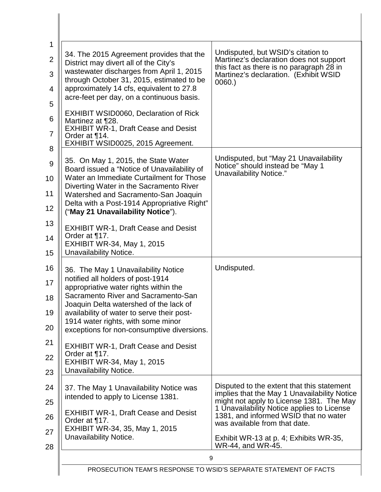| 34. The 2015 Agreement provides that the                                                | Undisputed, but WSID's citation to                                                                                   |
|-----------------------------------------------------------------------------------------|----------------------------------------------------------------------------------------------------------------------|
| District may divert all of the City's                                                   | Martinez's declaration does not support<br>this fact as there is no paragraph 28 in                                  |
| wastewater discharges from April 1, 2015<br>through October 31, 2015, estimated to be   | Martinez's declaration. (Exhibit WSID<br>0060.                                                                       |
| approximately 14 cfs, equivalent to 27.8<br>acre-feet per day, on a continuous basis.   |                                                                                                                      |
|                                                                                         |                                                                                                                      |
| <b>EXHIBIT WSID0060, Declaration of Rick</b><br>Martinez at ¶28.                        |                                                                                                                      |
| <b>EXHIBIT WR-1, Draft Cease and Desist</b><br>Order at 114.                            |                                                                                                                      |
| EXHIBIT WSID0025, 2015 Agreement.                                                       |                                                                                                                      |
| 35. On May 1, 2015, the State Water                                                     | Undisputed, but "May 21 Unavailability"<br>Notice" should instead be "May 1                                          |
| Board issued a "Notice of Unavailability of<br>Water an Immediate Curtailment for Those | Unavailability Notice."                                                                                              |
| Diverting Water in the Sacramento River<br>Watershed and Sacramento-San Joaquin         |                                                                                                                      |
| Delta with a Post-1914 Appropriative Right"                                             |                                                                                                                      |
| ("May 21 Unavailability Notice").                                                       |                                                                                                                      |
| <b>EXHIBIT WR-1, Draft Cease and Desist</b><br>Order at ¶17.                            |                                                                                                                      |
| <b>EXHIBIT WR-34, May 1, 2015</b>                                                       |                                                                                                                      |
| Unavailability Notice.                                                                  |                                                                                                                      |
| 36. The May 1 Unavailability Notice<br>notified all holders of post-1914                | Undisputed.                                                                                                          |
| appropriative water rights within the                                                   |                                                                                                                      |
| Sacramento River and Sacramento-San<br>Joaquin Delta watershed of the lack of           |                                                                                                                      |
| availability of water to serve their post-<br>1914 water rights, with some minor        |                                                                                                                      |
| exceptions for non-consumptive diversions.                                              |                                                                                                                      |
| <b>EXHIBIT WR-1, Draft Cease and Desist</b>                                             |                                                                                                                      |
| Order at ¶17.<br><b>EXHIBIT WR-34, May 1, 2015</b>                                      |                                                                                                                      |
| Unavailability Notice.                                                                  |                                                                                                                      |
| 37. The May 1 Unavailability Notice was                                                 | Disputed to the extent that this statement                                                                           |
| intended to apply to License 1381.                                                      | implies that the May 1 Unavailability Notice<br>might not apply to License 1381. The May                             |
| <b>EXHIBIT WR-1, Draft Cease and Desist</b><br>Order at ¶17.                            | 1 Unavailability Notice applies to License<br>1381, and informed WSID that no water<br>was available from that date. |
| EXHIBIT WR-34, 35, May 1, 2015                                                          |                                                                                                                      |
| Unavailability Notice.                                                                  | Exhibit WR-13 at p. 4; Exhibits WR-35,<br>WR-44, and WR-45.                                                          |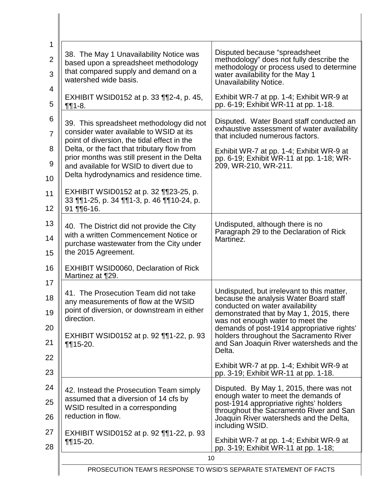| 1<br>$\overline{2}$<br>3                        | 38. The May 1 Unavailability Notice was<br>based upon a spreadsheet methodology<br>that compared supply and demand on a<br>watershed wide basis.                                                                                                                                                                                                                                                                             | Disputed because "spreadsheet<br>methodology" does not fully describe the<br>methodology or process used to determine<br>water availability for the May 1<br>Unavailability Notice.                                                                                                                                                                                                                                                       |
|-------------------------------------------------|------------------------------------------------------------------------------------------------------------------------------------------------------------------------------------------------------------------------------------------------------------------------------------------------------------------------------------------------------------------------------------------------------------------------------|-------------------------------------------------------------------------------------------------------------------------------------------------------------------------------------------------------------------------------------------------------------------------------------------------------------------------------------------------------------------------------------------------------------------------------------------|
| 4<br>5                                          | EXHIBIT WSID0152 at p. 33 112-4, p. 45,<br>$\P\P 1 - 8.$                                                                                                                                                                                                                                                                                                                                                                     | Exhibit WR-7 at pp. 1-4; Exhibit WR-9 at<br>pp. 6-19; Exhibit WR-11 at pp. 1-18.                                                                                                                                                                                                                                                                                                                                                          |
| 6<br>$\overline{7}$<br>8<br>9<br>10<br>11<br>12 | 39. This spreadsheet methodology did not<br>consider water available to WSID at its<br>point of diversion, the tidal effect in the<br>Delta, or the fact that tributary flow from<br>prior months was still present in the Delta<br>and available for WSID to divert due to<br>Delta hydrodynamics and residence time.<br>EXHIBIT WSID0152 at p. 32 1123-25, p.<br>33 ¶¶1-25, p. 34 ¶¶1-3, p. 46 ¶¶10-24, p.<br>$91$ ¶16-16. | Disputed. Water Board staff conducted an<br>exhaustive assessment of water availability<br>that included numerous factors.<br>Exhibit WR-7 at pp. 1-4; Exhibit WR-9 at<br>pp. 6-19; Exhibit WR-11 at pp. 1-18; WR-<br>209, WR-210, WR-211.                                                                                                                                                                                                |
| 13<br>14<br>15<br>16                            | 40. The District did not provide the City<br>with a written Commencement Notice or<br>purchase wastewater from the City under<br>the 2015 Agreement.<br><b>EXHIBIT WSID0060, Declaration of Rick</b>                                                                                                                                                                                                                         | Undisputed, although there is no<br>Paragraph 29 to the Declaration of Rick<br>Martinez.                                                                                                                                                                                                                                                                                                                                                  |
| 17<br>18<br>19<br>20<br>21<br>22<br>23          | Martinez at ¶29.<br>41. The Prosecution Team did not take<br>any measurements of flow at the WSID<br>point of diversion, or downstream in either<br>direction.<br>EXHIBIT WSID0152 at p. 92 11-22, p. 93<br>$\P\P 15 - 20.$                                                                                                                                                                                                  | Undisputed, but irrelevant to this matter,<br>because the analysis Water Board staff<br>conducted on water availability<br>demonstrated that by May 1, 2015, there<br>was not enough water to meet the<br>demands of post-1914 appropriative rights'<br>holders throughout the Sacramento River<br>and San Joaquin River watersheds and the<br>Delta.<br>Exhibit WR-7 at pp. 1-4; Exhibit WR-9 at<br>pp. 3-19; Exhibit WR-11 at pp. 1-18. |
| 24<br>25<br>26<br>27<br>28                      | 42. Instead the Prosecution Team simply<br>assumed that a diversion of 14 cfs by<br>WSID resulted in a corresponding<br>reduction in flow.<br>EXHIBIT WSID0152 at p. 92 $\P$ 1-22, p. 93<br>$\P\P 15 - 20.$                                                                                                                                                                                                                  | Disputed. By May 1, 2015, there was not<br>enough water to meet the demands of<br>post-1914 appropriative rights' holders<br>throughout the Sacramento River and San<br>Joaquin River watersheds and the Delta,<br>including WSID.<br>Exhibit WR-7 at pp. 1-4; Exhibit WR-9 at<br>pp. 3-19; Exhibit WR-11 at pp. 1-18;                                                                                                                    |
|                                                 | 10                                                                                                                                                                                                                                                                                                                                                                                                                           |                                                                                                                                                                                                                                                                                                                                                                                                                                           |
|                                                 | PROSECUTION TEAM'S RESPONSE TO WSID'S SEPARATE STATEMENT OF FACTS                                                                                                                                                                                                                                                                                                                                                            |                                                                                                                                                                                                                                                                                                                                                                                                                                           |